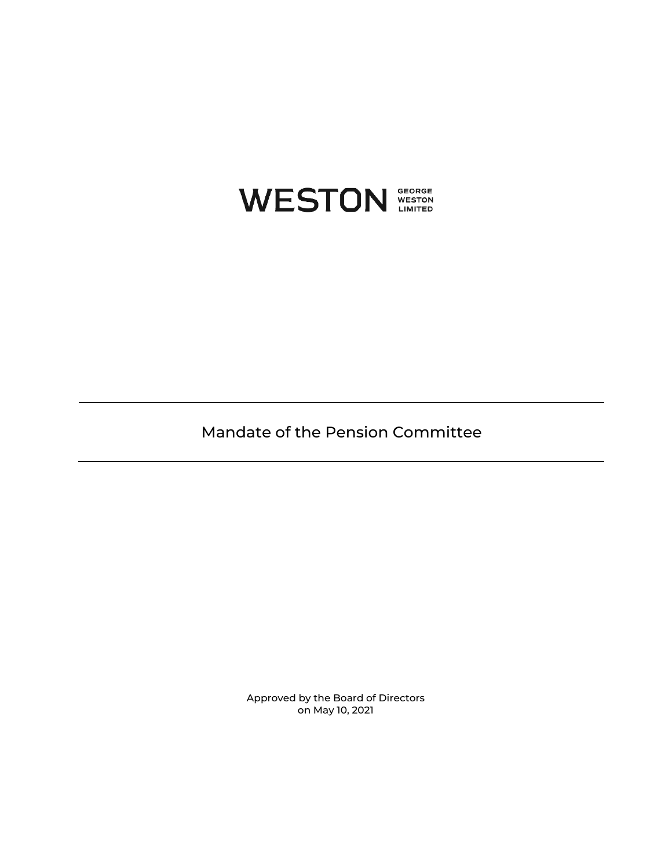

Mandate of the Pension Committee

Approved by the Board of Directors on May 10, 2021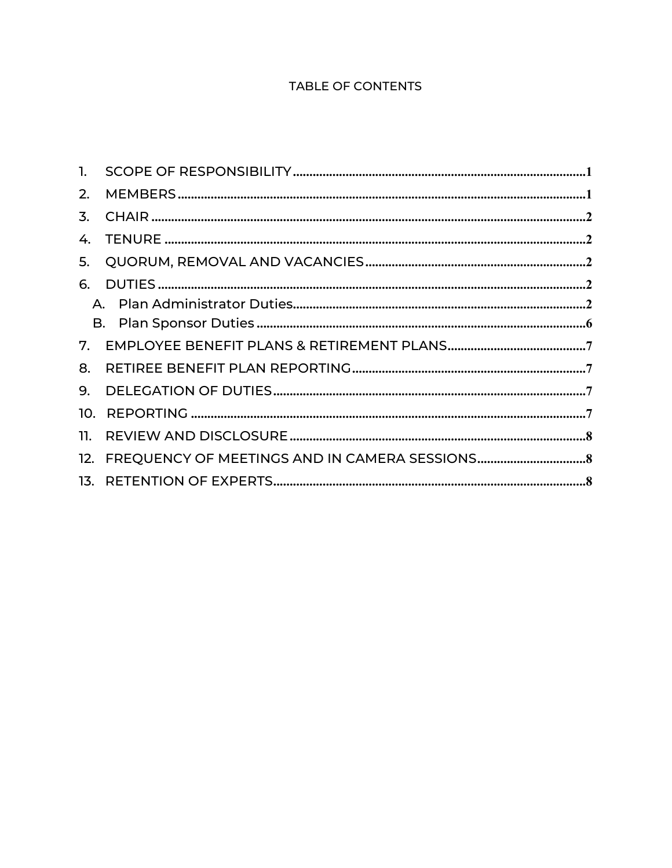# **TABLE OF CONTENTS**

| 2. |                                                  |  |
|----|--------------------------------------------------|--|
| 3. |                                                  |  |
|    |                                                  |  |
| 5. |                                                  |  |
| 6. |                                                  |  |
|    |                                                  |  |
|    |                                                  |  |
|    |                                                  |  |
| 8. |                                                  |  |
| 9. |                                                  |  |
|    |                                                  |  |
|    |                                                  |  |
|    | 12. FREQUENCY OF MEETINGS AND IN CAMERA SESSIONS |  |
|    |                                                  |  |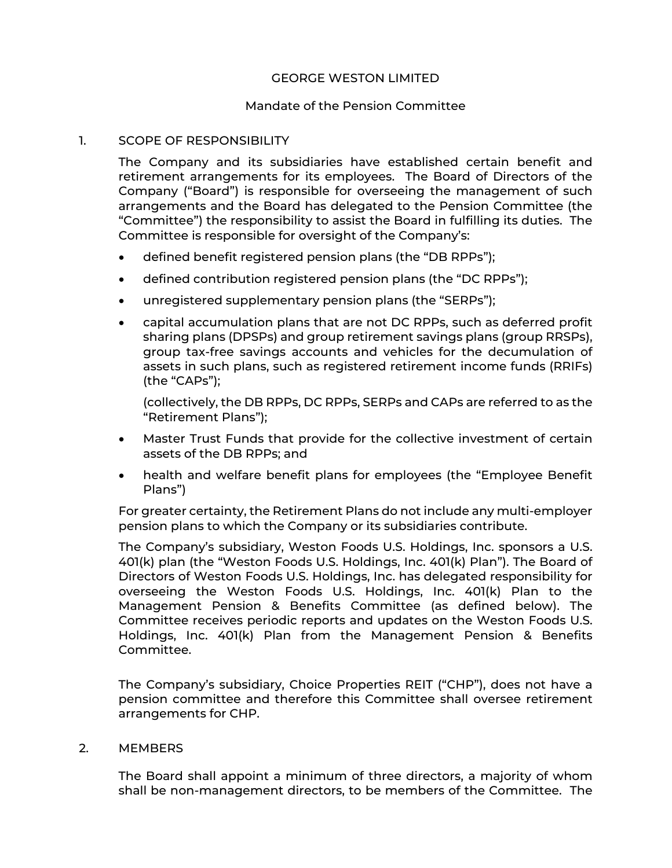# GEORGE WESTON LIMITED

# Mandate of the Pension Committee

### <span id="page-2-0"></span>1. SCOPE OF RESPONSIBILITY

The Company and its subsidiaries have established certain benefit and retirement arrangements for its employees. The Board of Directors of the Company ("Board") is responsible for overseeing the management of such arrangements and the Board has delegated to the Pension Committee (the "Committee") the responsibility to assist the Board in fulfilling its duties. The Committee is responsible for oversight of the Company's:

- defined benefit registered pension plans (the "DB RPPs");
- defined contribution registered pension plans (the "DC RPPs");
- unregistered supplementary pension plans (the "SERPs");
- capital accumulation plans that are not DC RPPs, such as deferred profit sharing plans (DPSPs) and group retirement savings plans (group RRSPs), group tax-free savings accounts and vehicles for the decumulation of assets in such plans, such as registered retirement income funds (RRIFs) (the "CAPs");

(collectively, the DB RPPs, DC RPPs, SERPs and CAPs are referred to as the "Retirement Plans");

- Master Trust Funds that provide for the collective investment of certain assets of the DB RPPs; and
- health and welfare benefit plans for employees (the "Employee Benefit Plans")

For greater certainty, the Retirement Plans do not include any multi-employer pension plans to which the Company or its subsidiaries contribute.

The Company's subsidiary, Weston Foods U.S. Holdings, Inc. sponsors a U.S. 401(k) plan (the "Weston Foods U.S. Holdings, Inc. 401(k) Plan"). The Board of Directors of Weston Foods U.S. Holdings, Inc. has delegated responsibility for overseeing the Weston Foods U.S. Holdings, Inc. 401(k) Plan to the Management Pension & Benefits Committee (as defined below). The Committee receives periodic reports and updates on the Weston Foods U.S. Holdings, Inc. 401(k) Plan from the Management Pension & Benefits Committee.

The Company's subsidiary, Choice Properties REIT ("CHP"), does not have a pension committee and therefore this Committee shall oversee retirement arrangements for CHP.

#### <span id="page-2-1"></span>2. MEMBERS

The Board shall appoint a minimum of three directors, a majority of whom shall be non-management directors, to be members of the Committee. The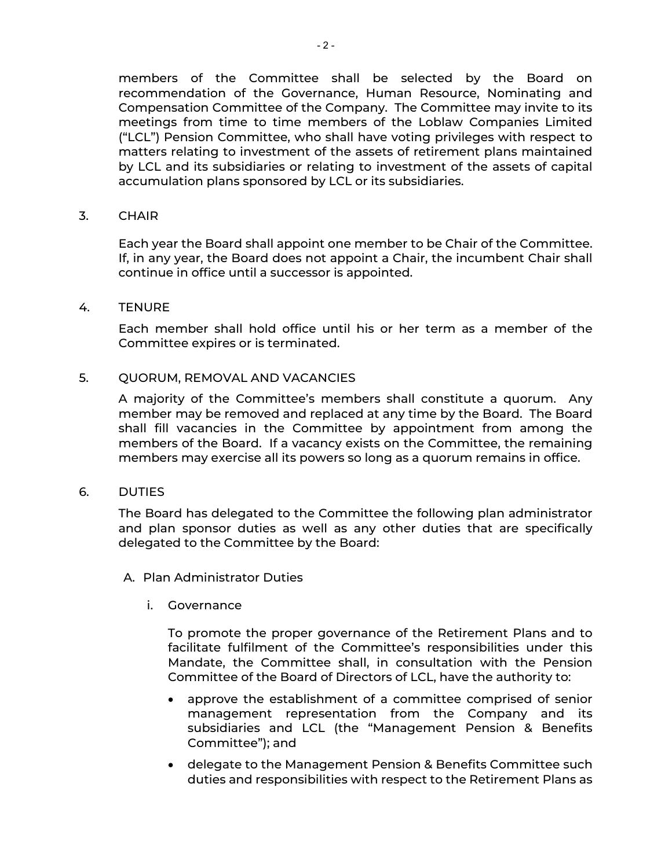members of the Committee shall be selected by the Board on recommendation of the Governance, Human Resource, Nominating and Compensation Committee of the Company. The Committee may invite to its meetings from time to time members of the Loblaw Companies Limited ("LCL") Pension Committee, who shall have voting privileges with respect to matters relating to investment of the assets of retirement plans maintained by LCL and its subsidiaries or relating to investment of the assets of capital accumulation plans sponsored by LCL or its subsidiaries.

<span id="page-3-0"></span>3. CHAIR

Each year the Board shall appoint one member to be Chair of the Committee. If, in any year, the Board does not appoint a Chair, the incumbent Chair shall continue in office until a successor is appointed.

<span id="page-3-1"></span>4. TENURE

Each member shall hold office until his or her term as a member of the Committee expires or is terminated.

### <span id="page-3-2"></span>5. QUORUM, REMOVAL AND VACANCIES

A majority of the Committee's members shall constitute a quorum. Any member may be removed and replaced at any time by the Board. The Board shall fill vacancies in the Committee by appointment from among the members of the Board. If a vacancy exists on the Committee, the remaining members may exercise all its powers so long as a quorum remains in office.

<span id="page-3-3"></span>6. DUTIES

The Board has delegated to the Committee the following plan administrator and plan sponsor duties as well as any other duties that are specifically delegated to the Committee by the Board:

<span id="page-3-5"></span><span id="page-3-4"></span>A. Plan Administrator Duties

i. Governance

To promote the proper governance of the Retirement Plans and to facilitate fulfilment of the Committee's responsibilities under this Mandate, the Committee shall, in consultation with the Pension Committee of the Board of Directors of LCL, have the authority to:

- approve the establishment of a committee comprised of senior management representation from the Company and its subsidiaries and LCL (the "Management Pension & Benefits Committee"); and
- delegate to the Management Pension & Benefits Committee such duties and responsibilities with respect to the Retirement Plans as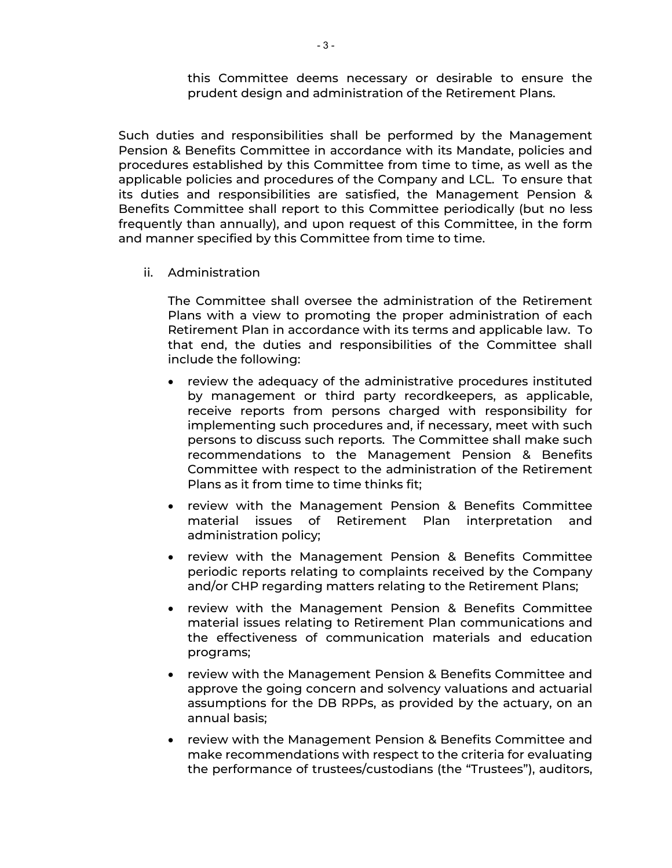this Committee deems necessary or desirable to ensure the prudent design and administration of the Retirement Plans.

Such duties and responsibilities shall be performed by the Management Pension & Benefits Committee in accordance with its Mandate, policies and procedures established by this Committee from time to time, as well as the applicable policies and procedures of the Company and LCL. To ensure that its duties and responsibilities are satisfied, the Management Pension & Benefits Committee shall report to this Committee periodically (but no less frequently than annually), and upon request of this Committee, in the form and manner specified by this Committee from time to time.

ii. Administration

The Committee shall oversee the administration of the Retirement Plans with a view to promoting the proper administration of each Retirement Plan in accordance with its terms and applicable law. To that end, the duties and responsibilities of the Committee shall include the following:

- review the adequacy of the administrative procedures instituted by management or third party recordkeepers, as applicable, receive reports from persons charged with responsibility for implementing such procedures and, if necessary, meet with such persons to discuss such reports. The Committee shall make such recommendations to the Management Pension & Benefits Committee with respect to the administration of the Retirement Plans as it from time to time thinks fit;
- review with the Management Pension & Benefits Committee material issues of Retirement Plan interpretation and administration policy;
- review with the Management Pension & Benefits Committee periodic reports relating to complaints received by the Company and/or CHP regarding matters relating to the Retirement Plans;
- review with the Management Pension & Benefits Committee material issues relating to Retirement Plan communications and the effectiveness of communication materials and education programs;
- review with the Management Pension & Benefits Committee and approve the going concern and solvency valuations and actuarial assumptions for the DB RPPs, as provided by the actuary, on an annual basis;
- review with the Management Pension & Benefits Committee and make recommendations with respect to the criteria for evaluating the performance of trustees/custodians (the "Trustees"), auditors,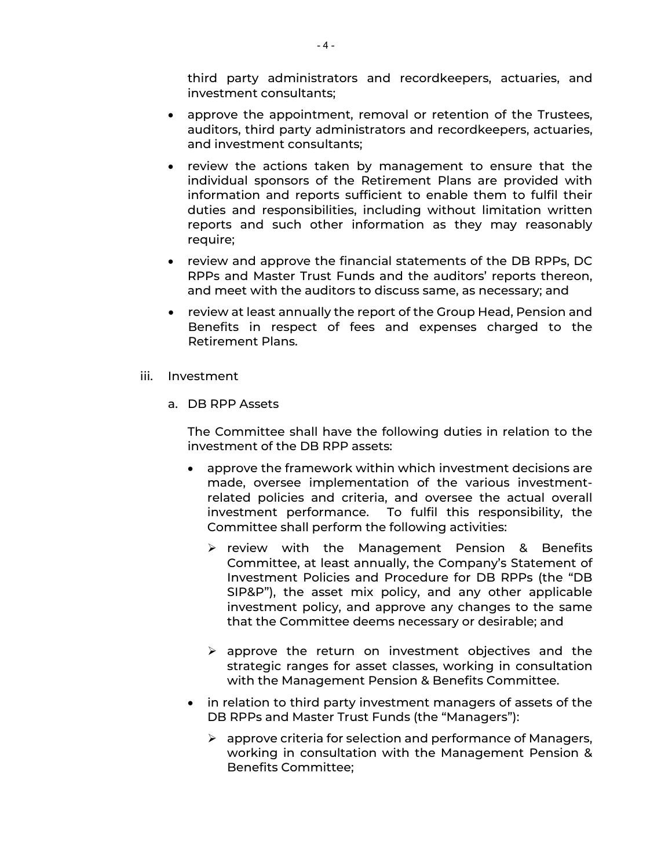third party administrators and recordkeepers, actuaries, and investment consultants;

- approve the appointment, removal or retention of the Trustees, auditors, third party administrators and recordkeepers, actuaries, and investment consultants;
- review the actions taken by management to ensure that the individual sponsors of the Retirement Plans are provided with information and reports sufficient to enable them to fulfil their duties and responsibilities, including without limitation written reports and such other information as they may reasonably require;
- review and approve the financial statements of the DB RPPs, DC RPPs and Master Trust Funds and the auditors' reports thereon, and meet with the auditors to discuss same, as necessary; and
- review at least annually the report of the Group Head, Pension and Benefits in respect of fees and expenses charged to the Retirement Plans.
- iii. Investment
	- a. DB RPP Assets

The Committee shall have the following duties in relation to the investment of the DB RPP assets:

- approve the framework within which investment decisions are made, oversee implementation of the various investmentrelated policies and criteria, and oversee the actual overall investment performance. To fulfil this responsibility, the Committee shall perform the following activities:
	- $\triangleright$  review with the Management Pension & Benefits Committee, at least annually, the Company's Statement of Investment Policies and Procedure for DB RPPs (the "DB SIP&P"), the asset mix policy, and any other applicable investment policy, and approve any changes to the same that the Committee deems necessary or desirable; and
	- $\triangleright$  approve the return on investment objectives and the strategic ranges for asset classes, working in consultation with the Management Pension & Benefits Committee.
- in relation to third party investment managers of assets of the DB RPPs and Master Trust Funds (the "Managers"):
	- $\triangleright$  approve criteria for selection and performance of Managers, working in consultation with the Management Pension & Benefits Committee;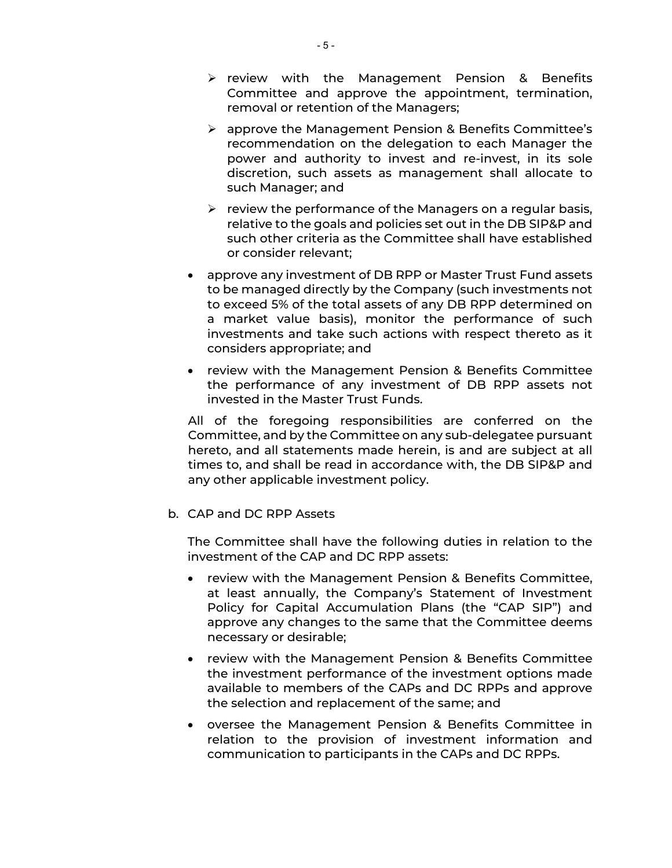- $\triangleright$  review with the Management Pension & Benefits Committee and approve the appointment, termination, removal or retention of the Managers;
- approve the Management Pension & Benefits Committee's recommendation on the delegation to each Manager the power and authority to invest and re-invest, in its sole discretion, such assets as management shall allocate to such Manager; and
- $\triangleright$  review the performance of the Managers on a regular basis, relative to the goals and policies set out in the DB SIP&P and such other criteria as the Committee shall have established or consider relevant;
- approve any investment of DB RPP or Master Trust Fund assets to be managed directly by the Company (such investments not to exceed 5% of the total assets of any DB RPP determined on a market value basis), monitor the performance of such investments and take such actions with respect thereto as it considers appropriate; and
- review with the Management Pension & Benefits Committee the performance of any investment of DB RPP assets not invested in the Master Trust Funds.

All of the foregoing responsibilities are conferred on the Committee, and by the Committee on any sub-delegatee pursuant hereto, and all statements made herein, is and are subject at all times to, and shall be read in accordance with, the DB SIP&P and any other applicable investment policy.

b. CAP and DC RPP Assets

The Committee shall have the following duties in relation to the investment of the CAP and DC RPP assets:

- review with the Management Pension & Benefits Committee, at least annually, the Company's Statement of Investment Policy for Capital Accumulation Plans (the "CAP SIP") and approve any changes to the same that the Committee deems necessary or desirable;
- review with the Management Pension & Benefits Committee the investment performance of the investment options made available to members of the CAPs and DC RPPs and approve the selection and replacement of the same; and
- oversee the Management Pension & Benefits Committee in relation to the provision of investment information and communication to participants in the CAPs and DC RPPs.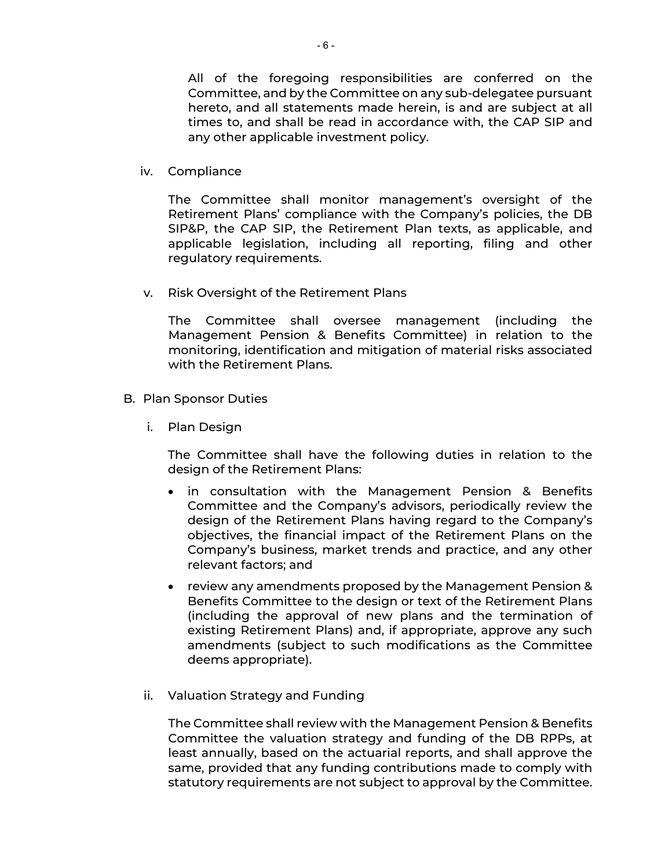All of the foregoing responsibilities are conferred on the Committee, and by the Committee on any sub-delegatee pursuant hereto, and all statements made herein, is and are subject at all times to, and shall be read in accordance with, the CAP SIP and any other applicable investment policy.

iv. Compliance

The Committee shall monitor management's oversight of the Retirement Plans' compliance with the Company's policies, the DB SIP&P, the CAP SIP, the Retirement Plan texts, as applicable, and applicable legislation, including all reporting, filing and other regulatory requirements.

v. Risk Oversight of the Retirement Plans

The Committee shall oversee management (including the Management Pension & Benefits Committee) in relation to the monitoring, identification and mitigation of material risks associated with the Retirement Plans.

- <span id="page-7-0"></span>B. Plan Sponsor Duties
	- i. Plan Design

The Committee shall have the following duties in relation to the design of the Retirement Plans:

- in consultation with the Management Pension & Benefits Committee and the Company's advisors, periodically review the design of the Retirement Plans having regard to the Company's objectives, the financial impact of the Retirement Plans on the Company's business, market trends and practice, and any other relevant factors; and
- review any amendments proposed by the Management Pension & Benefits Committee to the design or text of the Retirement Plans (including the approval of new plans and the termination of existing Retirement Plans) and, if appropriate, approve any such amendments (subject to such modifications as the Committee deems appropriate).
- ii. Valuation Strategy and Funding

The Committee shall review with the Management Pension & Benefits Committee the valuation strategy and funding of the DB RPPs, at least annually, based on the actuarial reports, and shall approve the same, provided that any funding contributions made to comply with statutory requirements are not subject to approval by the Committee.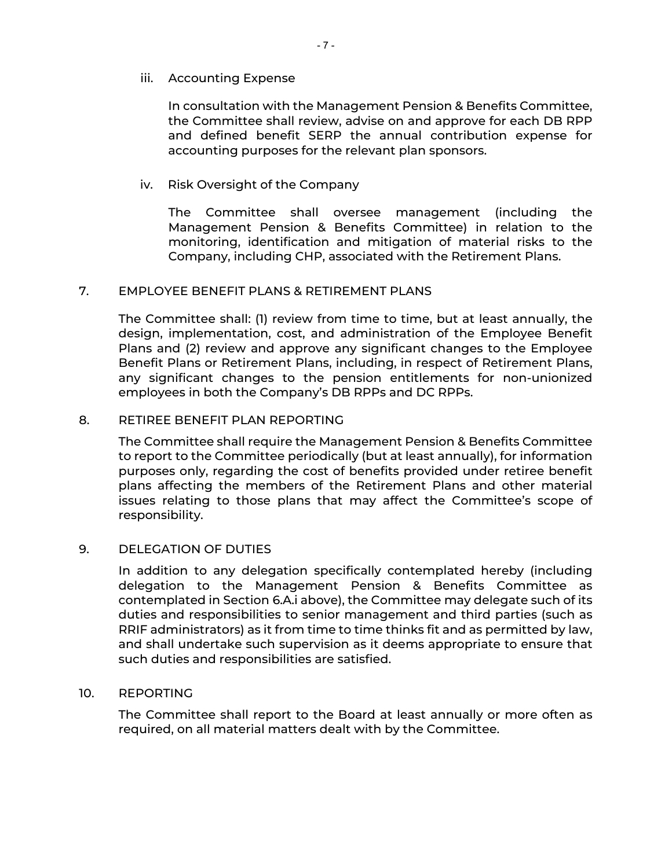## iii. Accounting Expense

In consultation with the Management Pension & Benefits Committee, the Committee shall review, advise on and approve for each DB RPP and defined benefit SERP the annual contribution expense for accounting purposes for the relevant plan sponsors.

## iv. Risk Oversight of the Company

The Committee shall oversee management (including the Management Pension & Benefits Committee) in relation to the monitoring, identification and mitigation of material risks to the Company, including CHP, associated with the Retirement Plans.

### <span id="page-8-0"></span>7. EMPLOYEE BENEFIT PLANS & RETIREMENT PLANS

The Committee shall: (1) review from time to time, but at least annually, the design, implementation, cost, and administration of the Employee Benefit Plans and (2) review and approve any significant changes to the Employee Benefit Plans or Retirement Plans, including, in respect of Retirement Plans, any significant changes to the pension entitlements for non-unionized employees in both the Company's DB RPPs and DC RPPs.

#### <span id="page-8-1"></span>8. RETIREE BENEFIT PLAN REPORTING

The Committee shall require the Management Pension & Benefits Committee to report to the Committee periodically (but at least annually), for information purposes only, regarding the cost of benefits provided under retiree benefit plans affecting the members of the Retirement Plans and other material issues relating to those plans that may affect the Committee's scope of responsibility.

# <span id="page-8-2"></span>9. DELEGATION OF DUTIES

In addition to any delegation specifically contemplated hereby (including delegation to the Management Pension & Benefits Committee as contemplated in Section [6.A.i](#page-3-5) above), the Committee may delegate such of its duties and responsibilities to senior management and third parties (such as RRIF administrators) as it from time to time thinks fit and as permitted by law, and shall undertake such supervision as it deems appropriate to ensure that such duties and responsibilities are satisfied.

#### <span id="page-8-3"></span>10. REPORTING

The Committee shall report to the Board at least annually or more often as required, on all material matters dealt with by the Committee.